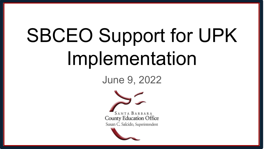# SBCEO Support for UPK Implementation

June 9, 2022

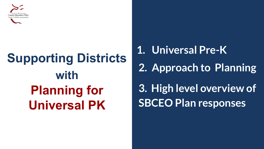

## **Supporting Districts with Planning for Universal PK**

**1. Universal Pre-K 2. Approach to Planning 3. High level overview of SBCEO Plan responses**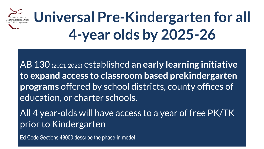

AB 130 (2021-2022) established an **early learning initiative**  to **expand access to classroom based prekindergarten programs** offered by school districts, county offices of education, or charter schools.

All 4 year-olds will have access to a year of free PK/TK prior to Kindergarten

Ed Code Sections 48000 describe the phase-in model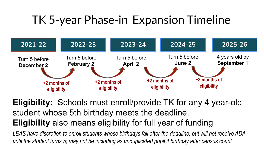### TK 5-year Phase-in Expansion Timeline



**Eligibility:** Schools must enroll/provide TK for any 4 year-old student whose 5th birthday meets the deadline. **Eligibility** also means eligibility for full year of funding

*LEAS have discretion to enroll students whose birthdays fall after the deadline, but will not receive ADA until the student turns 5; may not be including as unduplicated pupil if birthday after census count*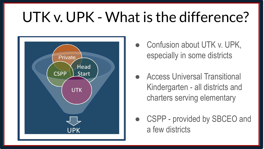### UTK v. UPK - What is the difference?



- Confusion about UTK v. UPK, especially in some districts
- Access Universal Transitional Kindergarten - all districts and charters serving elementary
- CSPP provided by SBCEO and a few districts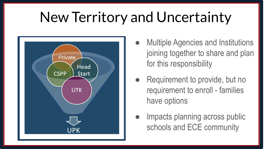### New Territory and Uncertainty



- **Multiple Agencies and Institutions** joining together to share and plan for this responsibility
- Requirement to provide, but no requirement to enroll - families have options
- Impacts planning across public schools and ECE community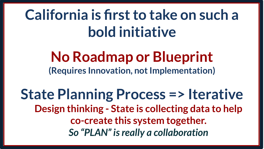## **California is first to take on such a bold initiative**

### **No Roadmap or Blueprint (Requires Innovation, not Implementation)**

**State Planning Process => Iterative Design thinking - State is collecting data to help co-create this system together.**  *So "PLAN" is really a collaboration*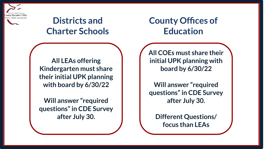

#### **Districts and Charter Schools**

#### **County Offices of Education**

**All LEAs offering Kindergarten must share their initial UPK planning with board by 6/30/22**

**Will answer "required questions" in CDE Survey after July 30.**

**All COEs must share their initial UPK planning with board by 6/30/22**

**Will answer "required questions" in CDE Survey after July 30.**

**Different Questions/ focus than LEAs**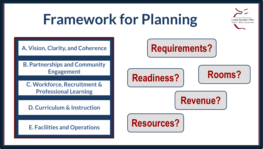### **Framework for Planning**

A. Vision, Clarity, and Coherence

**B. Partnerships and Community Engagement** 

C. Workforce, Recruitment & **Professional Learning** 

D. Curriculum & Instruction

**E. Facilities and Operations** 

### **Requirements?**





**County Education Office** an C. Salcido. Superintendent

**Revenue?**

**Resources?**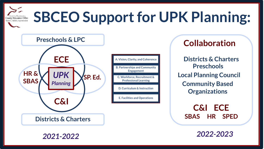#### **SBCEO Support for UPK Planning:**  County Education Office Susan C, Salcido, Superintendent



**Districts & Charters Preschools Local Planning Council Collaboration Community Based Organizations**

**C&I ECE SBAS HR SPED**

*2021-2022 2022-2023*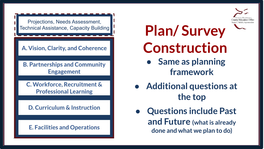**County Education Offic** usan C. Salcido. Superintendent

Projections, Needs Assessment,

A. Vision, Clarity, and Coherence

**B. Partnerships and Community Engagement** 

C. Workforce, Recruitment & **Professional Learning** 

D. Curriculum & Instruction

**E. Facilities and Operations** 

# Technical Assistance, Capacity Building **Plan/ Survey Construction**

- **● Same as planning framework**
- **● Additional questions at the top**
- **● Questions include Past and Future (what is already done and what we plan to do)**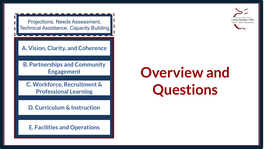Projections, Needs Assessment, Technical Assistance, Capacity Building

A. Vision, Clarity, and Coherence

**B. Partnerships and Community Engagement** 

C. Workforce, Recruitment & **Professional Learning** 

D. Curriculum & Instruction

**E. Facilities and Operations** 

# **Overview and Questions**